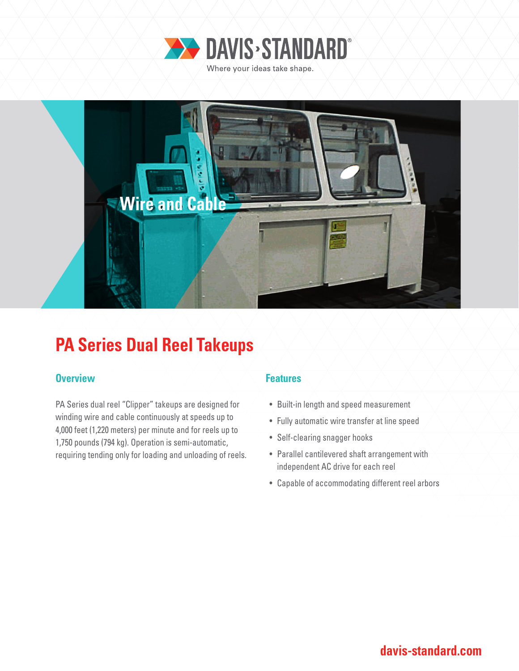



## **PA Series Dual Reel Takeups**

### **Overview Allenting Allen Allen Allen Allen Features**

PA Series dual reel "Clipper" takeups are designed for winding wire and cable continuously at speeds up to 4,000 feet (1,220 meters) per minute and for reels up to 1,750 pounds (794 kg). Operation is semi-automatic, requiring tending only for loading and unloading of reels.

- Built-in length and speed measurement
- Fully automatic wire transfer at line speed
- Self-clearing snagger hooks
- Parallel cantilevered shaft arrangement with independent AC drive for each reel
- Capable of accommodating different reel arbors

### **davis-standard.com**